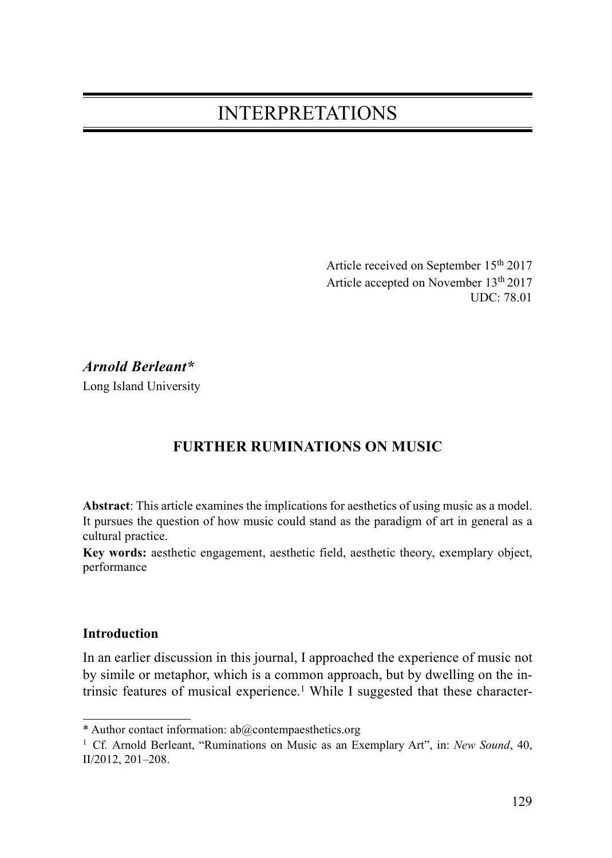# INTERPRETATIONS

Article received on September 15<sup>th</sup> 2017 Article accepted on November 13th 2017 UDC: 78.01

## Arnold Berleant\*

Long Island University

## FURTHER RUMINATIONS ON MUSIC

Abstract: This article examines the implications for aesthetics of using music as a model. It pursues the question of how music could stand as the paradigm of art in general as a cultural practice.

Key words: aesthetic engagement, aesthetic field, aesthetic theory, exemplary object, performance

#### Introduction

In an earlier discussion in this journal, I approached the experience of music not by simile or metaphor, which is a common approach, but by dwelling on the intrinsic features of musical experience.<sup>1</sup> While I suggested that these character-

<sup>\*</sup> Author contact information: ab@contempaesthetics.org

<sup>&</sup>lt;sup>1</sup> Cf. Arnold Berleant, "Ruminations on Music as an Exemplary Art", in: New Sound, 40, II/2012, 201–208.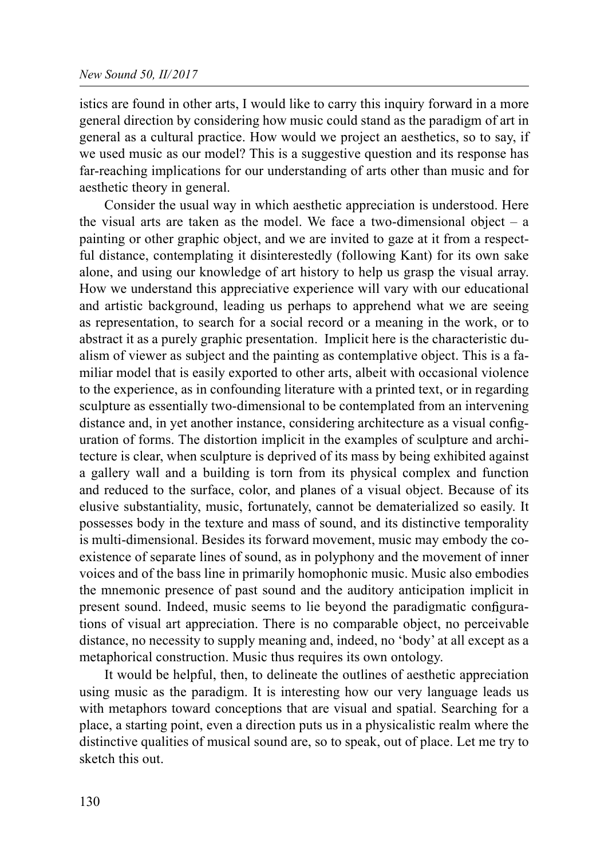istics are found in other arts, I would like to carry this inquiry forward in a more general direction by considering how music could stand as the paradigm of art in general as a cultural practice. How would we project an aesthetics, so to say, if we used music as our model? This is a suggestive question and its response has far-reaching implications for our understanding of arts other than music and for aesthetic theory in general.

Consider the usual way in which aesthetic appreciation is understood. Here the visual arts are taken as the model. We face a two-dimensional object  $-$  a painting or other graphic object, and we are invited to gaze at it from a respectful distance, contemplating it disinterestedly (following Kant) for its own sake alone, and using our knowledge of art history to help us grasp the visual array. How we understand this appreciative experience will vary with our educational and artistic background, leading us perhaps to apprehend what we are seeing as representation, to search for a social record or a meaning in the work, or to abstract it as a purely graphic presentation. Implicit here is the characteristic dualism of viewer as subject and the painting as contemplative object. This is a familiar model that is easily exported to other arts, albeit with occasional violence to the experience, as in confounding literature with a printed text, or in regarding sculpture as essentially two-dimensional to be contemplated from an intervening distance and, in yet another instance, considering architecture as a visual configuration of forms. The distortion implicit in the examples of sculpture and architecture is clear, when sculpture is deprived of its mass by being exhibited against a gallery wall and a building is torn from its physical complex and function and reduced to the surface, color, and planes of a visual object. Because of its elusive substantiality, music, fortunately, cannot be dematerialized so easily. It possesses body in the texture and mass of sound, and its distinctive temporality is multi-dimensional. Besides its forward movement, music may embody the coexistence of separate lines of sound, as in polyphony and the movement of inner voices and of the bass line in primarily homophonic music. Music also embodies the mnemonic presence of past sound and the auditory anticipation implicit in present sound. Indeed, music seems to lie beyond the paradigmatic configurations of visual art appreciation. There is no comparable object, no perceivable distance, no necessity to supply meaning and, indeed, no 'body' at all except as a metaphorical construction. Music thus requires its own ontology.

It would be helpful, then, to delineate the outlines of aesthetic appreciation using music as the paradigm. It is interesting how our very language leads us with metaphors toward conceptions that are visual and spatial. Searching for a place, a starting point, even a direction puts us in a physicalistic realm where the distinctive qualities of musical sound are, so to speak, out of place. Let me try to sketch this out.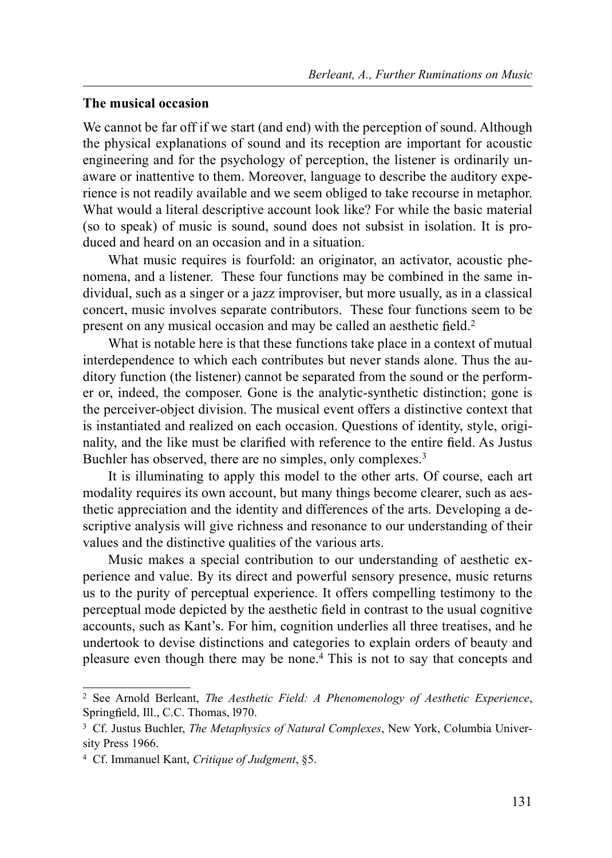#### The musical occasion

We cannot be far off if we start (and end) with the perception of sound. Although the physical explanations of sound and its reception are important for acoustic engineering and for the psychology of perception, the listener is ordinarily unaware or inattentive to them. Moreover, language to describe the auditory experience is not readily available and we seem obliged to take recourse in metaphor. What would a literal descriptive account look like? For while the basic material (so to speak) of music is sound, sound does not subsist in isolation. It is produced and heard on an occasion and in a situation.

What music requires is fourfold: an originator, an activator, acoustic phenomena, and a listener. These four functions may be combined in the same individual, such as a singer or a jazz improviser, but more usually, as in a classical concert, music involves separate contributors. These four functions seem to be present on any musical occasion and may be called an aesthetic field.<sup>2</sup>

What is notable here is that these functions take place in a context of mutual interdependence to which each contributes but never stands alone. Thus the auditory function (the listener) cannot be separated from the sound or the performer or, indeed, the composer. Gone is the analytic-synthetic distinction; gone is the perceiver-object division. The musical event offers a distinctive context that is instantiated and realized on each occasion. Questions of identity, style, originality, and the like must be clarified with reference to the entire field. As Justus Buchler has observed, there are no simples, only complexes.<sup>3</sup>

It is illuminating to apply this model to the other arts. Of course, each art modality requires its own account, but many things become clearer, such as aesthetic appreciation and the identity and differences of the arts. Developing a descriptive analysis will give richness and resonance to our understanding of their values and the distinctive qualities of the various arts.

Music makes a special contribution to our understanding of aesthetic experience and value. By its direct and powerful sensory presence, music returns us to the purity of perceptual experience. It offers compelling testimony to the perceptual mode depicted by the aesthetic field in contrast to the usual cognitive accounts, such as Kant's. For him, cognition underlies all three treatises, and he undertook to devise distinctions and categories to explain orders of beauty and pleasure even though there may be none.4 This is not to say that concepts and

<sup>&</sup>lt;sup>2</sup> See Arnold Berleant, *The Aesthetic Field: A Phenomenology of Aesthetic Experience*, Springfield, Ill., C.C. Thomas, 1970.

<sup>&</sup>lt;sup>3</sup> Cf. Justus Buchler, *The Metaphysics of Natural Complexes*, New York, Columbia University Press 1966.

<sup>4</sup> Cf. Immanuel Kant, Critique of Judgment, §5.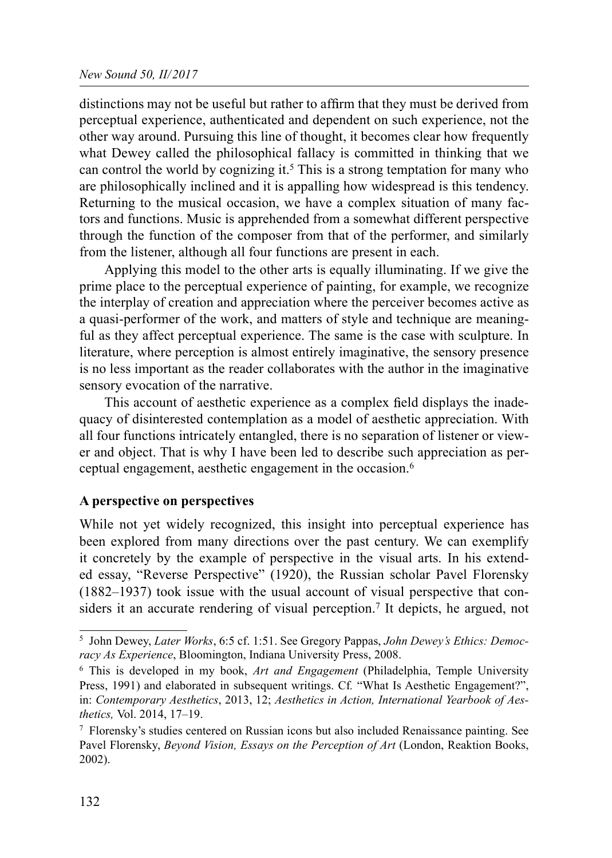distinctions may not be useful but rather to affirm that they must be derived from perceptual experience, authenticated and dependent on such experience, not the other way around. Pursuing this line of thought, it becomes clear how frequently what Dewey called the philosophical fallacy is committed in thinking that we can control the world by cognizing it.<sup>5</sup> This is a strong temptation for many who are philosophically inclined and it is appalling how widespread is this tendency. Returning to the musical occasion, we have a complex situation of many factors and functions. Music is apprehended from a somewhat different perspective through the function of the composer from that of the performer, and similarly from the listener, although all four functions are present in each.

Applying this model to the other arts is equally illuminating. If we give the prime place to the perceptual experience of painting, for example, we recognize the interplay of creation and appreciation where the perceiver becomes active as a quasi-performer of the work, and matters of style and technique are meaningful as they affect perceptual experience. The same is the case with sculpture. In literature, where perception is almost entirely imaginative, the sensory presence is no less important as the reader collaborates with the author in the imaginative sensory evocation of the narrative.

This account of aesthetic experience as a complex field displays the inadequacy of disinterested contemplation as a model of aesthetic appreciation. With all four functions intricately entangled, there is no separation of listener or viewer and object. That is why I have been led to describe such appreciation as perceptual engagement, aesthetic engagement in the occasion.6

## A perspective on perspectives

While not yet widely recognized, this insight into perceptual experience has been explored from many directions over the past century. We can exemplify it concretely by the example of perspective in the visual arts. In his extended essay, "Reverse Perspective" (1920), the Russian scholar Pavel Florensky (1882–1937) took issue with the usual account of visual perspective that considers it an accurate rendering of visual perception.<sup>7</sup> It depicts, he argued, not

<sup>&</sup>lt;sup>5</sup> John Dewey, *Later Works*, 6:5 cf. 1:51. See Gregory Pappas, *John Dewey's Ethics: Democ*racy As Experience, Bloomington, Indiana University Press, 2008.

 $6$  This is developed in my book, *Art and Engagement* (Philadelphia, Temple University Press, 1991) and elaborated in subsequent writings. Cf. "What Is Aesthetic Engagement?", in: Contemporary Aesthetics, 2013, 12; Aesthetics in Action, International Yearbook of Aesthetics, Vol. 2014, 17–19.

<sup>7</sup> Florensky's studies centered on Russian icons but also included Renaissance painting. See Pavel Florensky, Beyond Vision, Essays on the Perception of Art (London, Reaktion Books, 2002).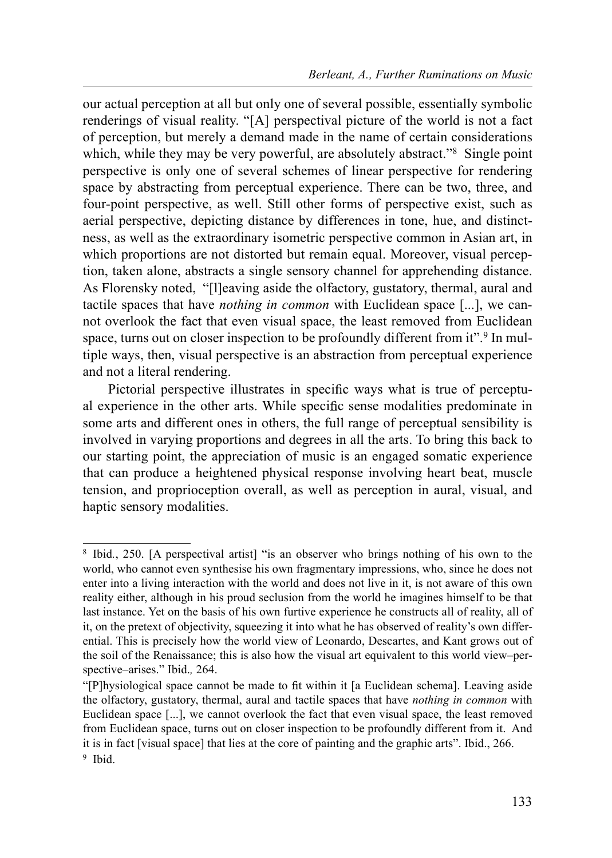our actual perception at all but only one of several possible, essentially symbolic renderings of visual reality. "[A] perspectival picture of the world is not a fact of perception, but merely a demand made in the name of certain considerations which, while they may be very powerful, are absolutely abstract.<sup>88</sup> Single point perspective is only one of several schemes of linear perspective for rendering space by abstracting from perceptual experience. There can be two, three, and four-point perspective, as well. Still other forms of perspective exist, such as aerial perspective, depicting distance by differences in tone, hue, and distinctness, as well as the extraordinary isometric perspective common in Asian art, in which proportions are not distorted but remain equal. Moreover, visual perception, taken alone, abstracts a single sensory channel for apprehending distance. As Florensky noted, "[l]eaving aside the olfactory, gustatory, thermal, aural and tactile spaces that have nothing in common with Euclidean space [...], we cannot overlook the fact that even visual space, the least removed from Euclidean space, turns out on closer inspection to be profoundly different from it".<sup>9</sup> In multiple ways, then, visual perspective is an abstraction from perceptual experience and not a literal rendering.

Pictorial perspective illustrates in specific ways what is true of perceptual experience in the other arts. While specific sense modalities predominate in some arts and different ones in others, the full range of perceptual sensibility is involved in varying proportions and degrees in all the arts. To bring this back to our starting point, the appreciation of music is an engaged somatic experience that can produce a heightened physical response involving heart beat, muscle tension, and proprioception overall, as well as perception in aural, visual, and haptic sensory modalities.

<sup>8</sup> Ibid., 250. [A perspectival artist] "is an observer who brings nothing of his own to the world, who cannot even synthesise his own fragmentary impressions, who, since he does not enter into a living interaction with the world and does not live in it, is not aware of this own reality either, although in his proud seclusion from the world he imagines himself to be that last instance. Yet on the basis of his own furtive experience he constructs all of reality, all of it, on the pretext of objectivity, squeezing it into what he has observed of reality's own differential. This is precisely how the world view of Leonardo, Descartes, and Kant grows out of the soil of the Renaissance; this is also how the visual art equivalent to this world view–perspective–arises." Ibid., 264.

<sup>&</sup>quot;[P]hysiological space cannot be made to fit within it [a Euclidean schema]. Leaving aside the olfactory, gustatory, thermal, aural and tactile spaces that have nothing in common with Euclidean space [...], we cannot overlook the fact that even visual space, the least removed from Euclidean space, turns out on closer inspection to be profoundly different from it. And it is in fact [visual space] that lies at the core of painting and the graphic arts". Ibid., 266. 9 Ibid.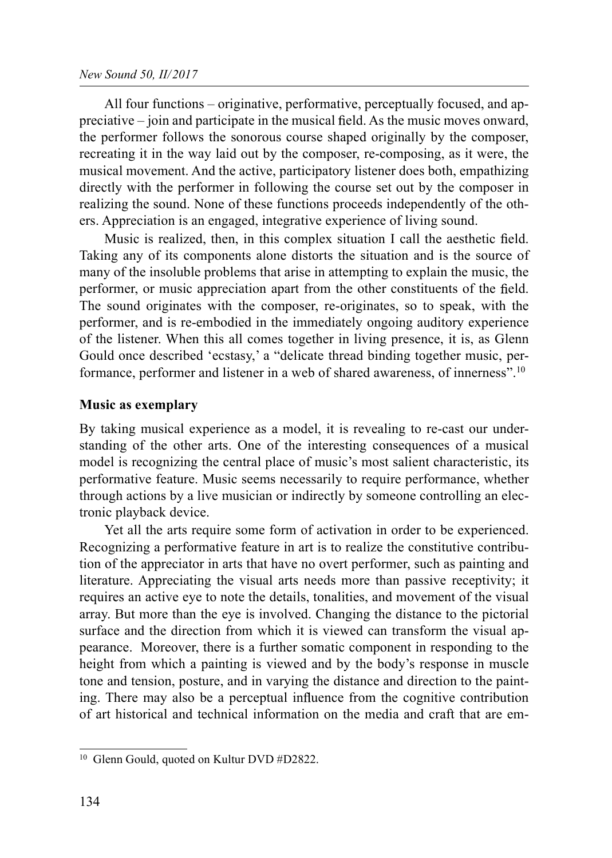All four functions – originative, performative, perceptually focused, and ap $precative - join$  and participate in the musical field. As the music moves onward, the performer follows the sonorous course shaped originally by the composer, recreating it in the way laid out by the composer, re-composing, as it were, the musical movement. And the active, participatory listener does both, empathizing directly with the performer in following the course set out by the composer in realizing the sound. None of these functions proceeds independently of the others. Appreciation is an engaged, integrative experience of living sound.

Music is realized, then, in this complex situation I call the aesthetic field. Taking any of its components alone distorts the situation and is the source of many of the insoluble problems that arise in attempting to explain the music, the performer, or music appreciation apart from the other constituents of the field. The sound originates with the composer, re-originates, so to speak, with the performer, and is re-embodied in the immediately ongoing auditory experience of the listener. When this all comes together in living presence, it is, as Glenn Gould once described 'ecstasy,' a "delicate thread binding together music, performance, performer and listener in a web of shared awareness, of innerness".10

## Music as exemplary

By taking musical experience as a model, it is revealing to re-cast our understanding of the other arts. One of the interesting consequences of a musical model is recognizing the central place of music's most salient characteristic, its performative feature. Music seems necessarily to require performance, whether through actions by a live musician or indirectly by someone controlling an electronic playback device.

Yet all the arts require some form of activation in order to be experienced. Recognizing a performative feature in art is to realize the constitutive contribution of the appreciator in arts that have no overt performer, such as painting and literature. Appreciating the visual arts needs more than passive receptivity; it requires an active eye to note the details, tonalities, and movement of the visual array. But more than the eye is involved. Changing the distance to the pictorial surface and the direction from which it is viewed can transform the visual appearance. Moreover, there is a further somatic component in responding to the height from which a painting is viewed and by the body's response in muscle tone and tension, posture, and in varying the distance and direction to the painting. There may also be a perceptual influence from the cognitive contribution of art historical and technical information on the media and craft that are em-

<sup>&</sup>lt;sup>10</sup> Glenn Gould, quoted on Kultur DVD #D2822.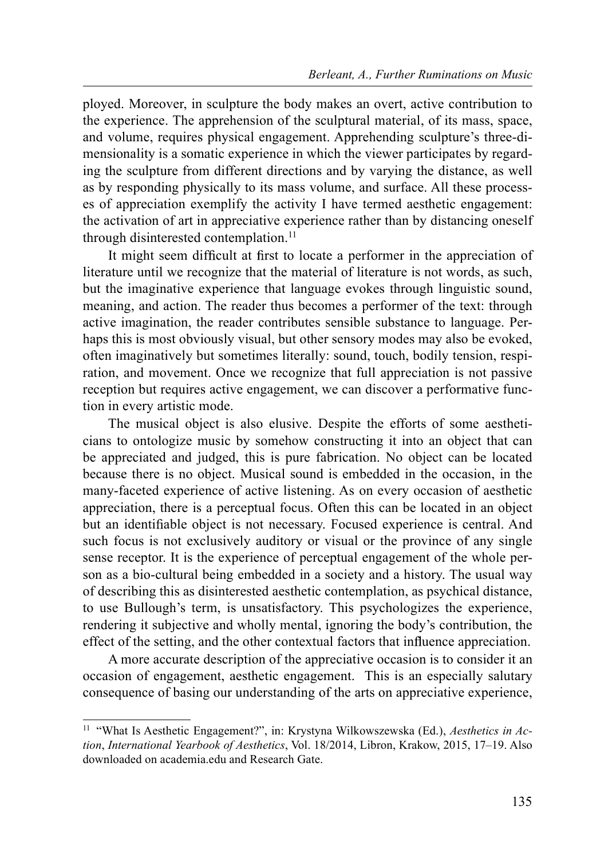ployed. Moreover, in sculpture the body makes an overt, active contribution to the experience. The apprehension of the sculptural material, of its mass, space, and volume, requires physical engagement. Apprehending sculpture's three-dimensionality is a somatic experience in which the viewer participates by regarding the sculpture from different directions and by varying the distance, as well as by responding physically to its mass volume, and surface. All these processes of appreciation exemplify the activity I have termed aesthetic engagement: the activation of art in appreciative experience rather than by distancing oneself through disinterested contemplation.<sup>11</sup>

It might seem difficult at first to locate a performer in the appreciation of literature until we recognize that the material of literature is not words, as such, but the imaginative experience that language evokes through linguistic sound, meaning, and action. The reader thus becomes a performer of the text: through active imagination, the reader contributes sensible substance to language. Perhaps this is most obviously visual, but other sensory modes may also be evoked, often imaginatively but sometimes literally: sound, touch, bodily tension, respiration, and movement. Once we recognize that full appreciation is not passive reception but requires active engagement, we can discover a performative function in every artistic mode.

The musical object is also elusive. Despite the efforts of some aestheticians to ontologize music by somehow constructing it into an object that can be appreciated and judged, this is pure fabrication. No object can be located because there is no object. Musical sound is embedded in the occasion, in the many-faceted experience of active listening. As on every occasion of aesthetic appreciation, there is a perceptual focus. Often this can be located in an object but an identifiable object is not necessary. Focused experience is central. And such focus is not exclusively auditory or visual or the province of any single sense receptor. It is the experience of perceptual engagement of the whole person as a bio-cultural being embedded in a society and a history. The usual way of describing this as disinterested aesthetic contemplation, as psychical distance, to use Bullough's term, is unsatisfactory. This psychologizes the experience, rendering it subjective and wholly mental, ignoring the body's contribution, the effect of the setting, and the other contextual factors that influence appreciation.

A more accurate description of the appreciative occasion is to consider it an occasion of engagement, aesthetic engagement. This is an especially salutary consequence of basing our understanding of the arts on appreciative experience,

<sup>&</sup>lt;sup>11</sup> "What Is Aesthetic Engagement?", in: Krystyna Wilkowszewska (Ed.), Aesthetics in Action, International Yearbook of Aesthetics, Vol. 18/2014, Libron, Krakow, 2015, 17–19. Also downloaded on academia.edu and Research Gate.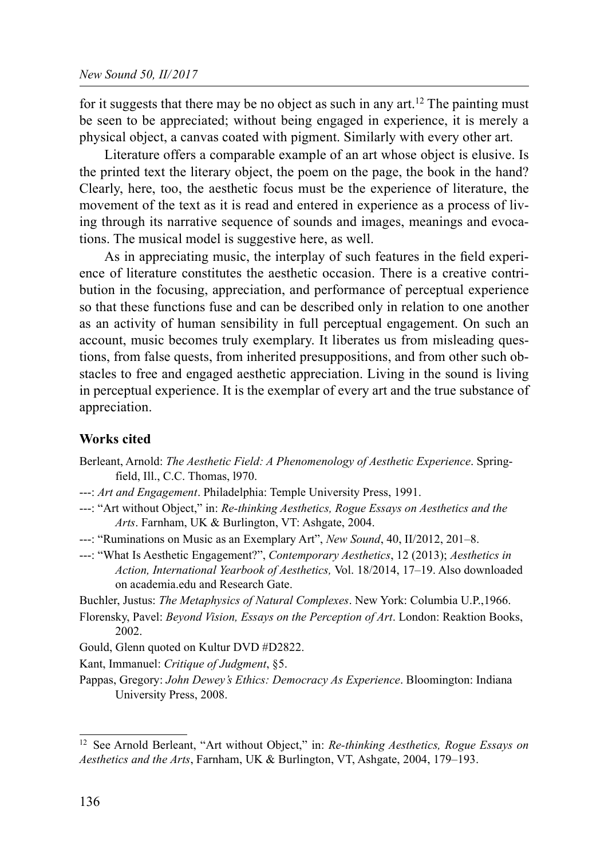for it suggests that there may be no object as such in any art.<sup>12</sup> The painting must be seen to be appreciated; without being engaged in experience, it is merely a physical object, a canvas coated with pigment. Similarly with every other art.

Literature offers a comparable example of an art whose object is elusive. Is the printed text the literary object, the poem on the page, the book in the hand? Clearly, here, too, the aesthetic focus must be the experience of literature, the movement of the text as it is read and entered in experience as a process of living through its narrative sequence of sounds and images, meanings and evocations. The musical model is suggestive here, as well.

As in appreciating music, the interplay of such features in the field experience of literature constitutes the aesthetic occasion. There is a creative contribution in the focusing, appreciation, and performance of perceptual experience so that these functions fuse and can be described only in relation to one another as an activity of human sensibility in full perceptual engagement. On such an account, music becomes truly exemplary. It liberates us from misleading questions, from false quests, from inherited presuppositions, and from other such obstacles to free and engaged aesthetic appreciation. Living in the sound is living in perceptual experience. It is the exemplar of every art and the true substance of appreciation.

## Works cited

- Berleant, Arnold: The Aesthetic Field: A Phenomenology of Aesthetic Experience. Springfield, Ill., C.C. Thomas, l970.
- ---: Art and Engagement. Philadelphia: Temple University Press, 1991.
- ---: "Art without Object," in: Re-thinking Aesthetics, Rogue Essays on Aesthetics and the Arts. Farnham, UK & Burlington, VT: Ashgate, 2004.
- ---: "Ruminations on Music as an Exemplary Art", New Sound, 40, II/2012, 201–8.
- ---: "What Is Aesthetic Engagement?", Contemporary Aesthetics, 12 (2013); Aesthetics in Action, International Yearbook of Aesthetics, Vol. 18/2014, 17–19. Also downloaded on academia.edu and Research Gate.

Buchler, Justus: The Metaphysics of Natural Complexes. New York: Columbia U.P., 1966.

- Florensky, Pavel: Beyond Vision, Essays on the Perception of Art. London: Reaktion Books, 2002.
- Gould, Glenn quoted on Kultur DVD #D2822.

Kant, Immanuel: Critique of Judgment, §5.

Pappas, Gregory: John Dewey's Ethics: Democracy As Experience. Bloomington: Indiana University Press, 2008.

<sup>&</sup>lt;sup>12</sup> See Arnold Berleant, "Art without Object," in: Re-thinking Aesthetics, Rogue Essays on Aesthetics and the Arts, Farnham, UK & Burlington, VT, Ashgate, 2004, 179–193.